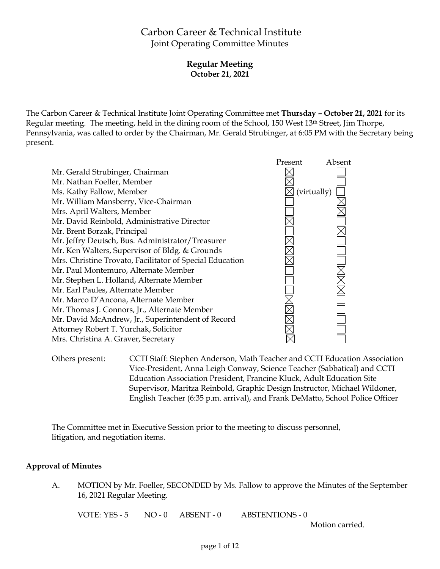# Carbon Career & Technical Institute Joint Operating Committee Minutes

**Regular Meeting October 21, 2021**

The Carbon Career & Technical Institute Joint Operating Committee met **Thursday – October 21, 2021** for its Regular meeting. The meeting, held in the dining room of the School, 150 West 13th Street, Jim Thorpe, Pennsylvania, was called to order by the Chairman, Mr. Gerald Strubinger, at 6:05 PM with the Secretary being present.



Others present: CCTI Staff: Stephen Anderson, Math Teacher and CCTI Education Association Vice-President, Anna Leigh Conway, Science Teacher (Sabbatical) and CCTI Education Association President, Francine Kluck, Adult Education Site Supervisor, Maritza Reinbold, Graphic Design Instructor, Michael Wildoner, English Teacher (6:35 p.m. arrival), and Frank DeMatto, School Police Officer

The Committee met in Executive Session prior to the meeting to discuss personnel, litigation, and negotiation items.

# **Approval of Minutes**

A. MOTION by Mr. Foeller, SECONDED by Ms. Fallow to approve the Minutes of the September 16, 2021 Regular Meeting.

VOTE: YES - 5 NO - 0 ABSENT - 0 ABSTENTIONS - 0

Motion carried.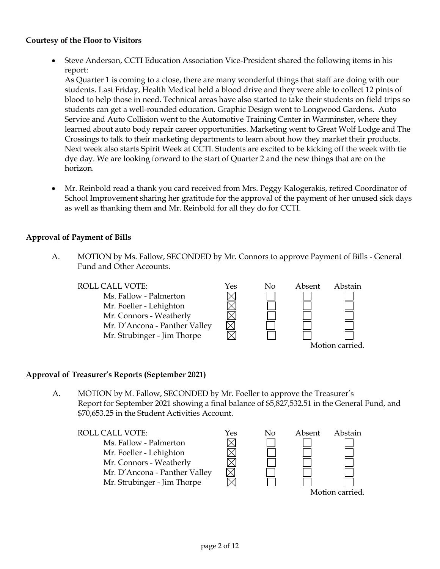### **Courtesy of the Floor to Visitors**

 Steve Anderson, CCTI Education Association Vice-President shared the following items in his report:

As Quarter 1 is coming to a close, there are many wonderful things that staff are doing with our students. Last Friday, Health Medical held a blood drive and they were able to collect 12 pints of blood to help those in need. Technical areas have also started to take their students on field trips so students can get a well-rounded education. Graphic Design went to Longwood Gardens. Auto Service and Auto Collision went to the Automotive Training Center in Warminster, where they learned about auto body repair career opportunities. Marketing went to Great Wolf Lodge and The Crossings to talk to their marketing departments to learn about how they market their products. Next week also starts Spirit Week at CCTI. Students are excited to be kicking off the week with tie dye day. We are looking forward to the start of Quarter 2 and the new things that are on the horizon.

 Mr. Reinbold read a thank you card received from Mrs. Peggy Kalogerakis, retired Coordinator of School Improvement sharing her gratitude for the approval of the payment of her unused sick days as well as thanking them and Mr. Reinbold for all they do for CCTI.

### **Approval of Payment of Bills**

A. MOTION by Ms. Fallow, SECONDED by Mr. Connors to approve Payment of Bills - General Fund and Other Accounts.



### **Approval of Treasurer's Reports (September 2021)**

A. MOTION by M. Fallow, SECONDED by Mr. Foeller to approve the Treasurer's Report for September 2021 showing a final balance of \$5,827,532.51 in the General Fund, and \$70,653.25 in the Student Activities Account.

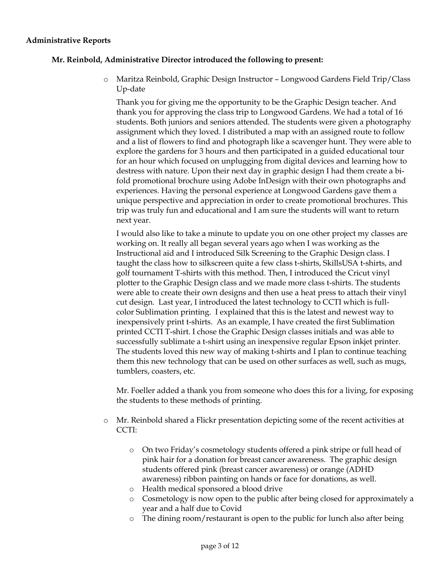#### **Administrative Reports**

### **Mr. Reinbold, Administrative Director introduced the following to present:**

o Maritza Reinbold, Graphic Design Instructor – Longwood Gardens Field Trip/Class Up-date

Thank you for giving me the opportunity to be the Graphic Design teacher. And thank you for approving the class trip to Longwood Gardens. We had a total of 16 students. Both juniors and seniors attended. The students were given a photography assignment which they loved. I distributed a map with an assigned route to follow and a list of flowers to find and photograph like a scavenger hunt. They were able to explore the gardens for 3 hours and then participated in a guided educational tour for an hour which focused on unplugging from digital devices and learning how to destress with nature. Upon their next day in graphic design I had them create a bifold promotional brochure using Adobe InDesign with their own photographs and experiences. Having the personal experience at Longwood Gardens gave them a unique perspective and appreciation in order to create promotional brochures. This trip was truly fun and educational and I am sure the students will want to return next year.

I would also like to take a minute to update you on one other project my classes are working on. It really all began several years ago when I was working as the Instructional aid and I introduced Silk Screening to the Graphic Design class. I taught the class how to silkscreen quite a few class t-shirts, SkillsUSA t-shirts, and golf tournament T-shirts with this method. Then, I introduced the Cricut vinyl plotter to the Graphic Design class and we made more class t-shirts. The students were able to create their own designs and then use a heat press to attach their vinyl cut design. Last year, I introduced the latest technology to CCTI which is fullcolor Sublimation printing. I explained that this is the latest and newest way to inexpensively print t-shirts. As an example, I have created the first Sublimation printed CCTI T-shirt. I chose the Graphic Design classes initials and was able to successfully sublimate a t-shirt using an inexpensive regular Epson inkjet printer. The students loved this new way of making t-shirts and I plan to continue teaching them this new technology that can be used on other surfaces as well, such as mugs, tumblers, coasters, etc.

Mr. Foeller added a thank you from someone who does this for a living, for exposing the students to these methods of printing.

- o Mr. Reinbold shared a Flickr presentation depicting some of the recent activities at CCTI:
	- o On two Friday's cosmetology students offered a pink stripe or full head of pink hair for a donation for breast cancer awareness. The graphic design students offered pink (breast cancer awareness) or orange (ADHD awareness) ribbon painting on hands or face for donations, as well.
	- o Health medical sponsored a blood drive
	- o Cosmetology is now open to the public after being closed for approximately a year and a half due to Covid
	- o The dining room/restaurant is open to the public for lunch also after being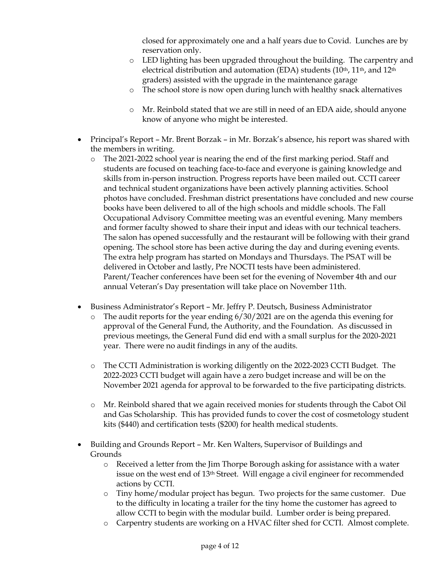closed for approximately one and a half years due to Covid. Lunches are by reservation only.

- o LED lighting has been upgraded throughout the building. The carpentry and electrical distribution and automation (EDA) students ( $10<sup>th</sup>$ ,  $11<sup>th</sup>$ , and  $12<sup>th</sup>$ graders) assisted with the upgrade in the maintenance garage
- o The school store is now open during lunch with healthy snack alternatives
- o Mr. Reinbold stated that we are still in need of an EDA aide, should anyone know of anyone who might be interested.
- Principal's Report Mr. Brent Borzak in Mr. Borzak's absence, his report was shared with the members in writing.
	- o The 2021-2022 school year is nearing the end of the first marking period. Staff and students are focused on teaching face-to-face and everyone is gaining knowledge and skills from in-person instruction. Progress reports have been mailed out. CCTI career and technical student organizations have been actively planning activities. School photos have concluded. Freshman district presentations have concluded and new course books have been delivered to all of the high schools and middle schools. The Fall Occupational Advisory Committee meeting was an eventful evening. Many members and former faculty showed to share their input and ideas with our technical teachers. The salon has opened successfully and the restaurant will be following with their grand opening. The school store has been active during the day and during evening events. The extra help program has started on Mondays and Thursdays. The PSAT will be delivered in October and lastly, Pre NOCTI tests have been administered. Parent/Teacher conferences have been set for the evening of November 4th and our annual Veteran's Day presentation will take place on November 11th.
- Business Administrator's Report Mr. Jeffry P. Deutsch, Business Administrator
	- The audit reports for the year ending  $6/30/2021$  are on the agenda this evening for approval of the General Fund, the Authority, and the Foundation. As discussed in previous meetings, the General Fund did end with a small surplus for the 2020-2021 year. There were no audit findings in any of the audits.
	- o The CCTI Administration is working diligently on the 2022-2023 CCTI Budget. The 2022-2023 CCTI budget will again have a zero budget increase and will be on the November 2021 agenda for approval to be forwarded to the five participating districts.
	- o Mr. Reinbold shared that we again received monies for students through the Cabot Oil and Gas Scholarship. This has provided funds to cover the cost of cosmetology student kits (\$440) and certification tests (\$200) for health medical students.
- Building and Grounds Report Mr. Ken Walters, Supervisor of Buildings and Grounds
	- o Received a letter from the Jim Thorpe Borough asking for assistance with a water issue on the west end of 13th Street. Will engage a civil engineer for recommended actions by CCTI.
	- o Tiny home/modular project has begun. Two projects for the same customer. Due to the difficulty in locating a trailer for the tiny home the customer has agreed to allow CCTI to begin with the modular build. Lumber order is being prepared.
	- o Carpentry students are working on a HVAC filter shed for CCTI. Almost complete.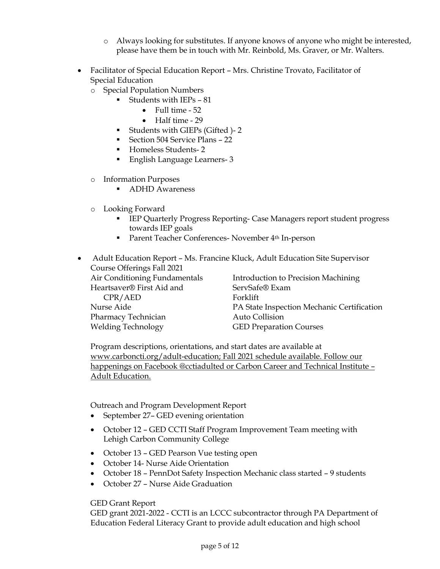- o Always looking for substitutes. If anyone knows of anyone who might be interested, please have them be in touch with Mr. Reinbold, Ms. Graver, or Mr. Walters.
- Facilitator of Special Education Report Mrs. Christine Trovato, Facilitator of Special Education
	- o Special Population Numbers
		- Students with  $IEPs 81$ 
			- $\bullet$  Full time  $-52$
			- Half time 29
		- Students with GIEPs (Gifted )- 2
		- Section 504 Service Plans 22
		- Homeless Students-2
		- English Language Learners- 3
	- o Information Purposes
		- ADHD Awareness
	- o Looking Forward
		- IEP Quarterly Progress Reporting- Case Managers report student progress towards IEP goals
		- **Parent Teacher Conferences- November 4th In-person**

 Adult Education Report – Ms. Francine Kluck, Adult Education Site Supervisor Course Offerings Fall 2021 Air Conditioning Fundamentals Heartsaver® First Aid and CPR/AED Nurse Aide Introduction to Precision Machining ServSafe® Exam Forklift PA State Inspection Mechanic Certification

Pharmacy Technician Welding Technology

Auto Collision GED Preparation Courses

Program descriptions, orientations, and start dates are available at [www.carboncti.org/adult-education;](http://www.carboncti.org/adult-education) Fall 2021 schedule available. Follow our happenings on Facebook @cctiadulted or Carbon Career and Technical Institute – Adult Education.

Outreach and Program Development Report

- September 27– GED evening orientation
- October 12 GED CCTI Staff Program Improvement Team meeting with Lehigh Carbon Community College
- October 13 GED Pearson Vue testing open
- October 14- Nurse Aide Orientation
- October 18 PennDot Safety Inspection Mechanic class started 9 students
- October 27 Nurse Aide Graduation

### GED Grant Report

GED grant 2021-2022 - CCTI is an LCCC subcontractor through PA Department of Education Federal Literacy Grant to provide adult education and high school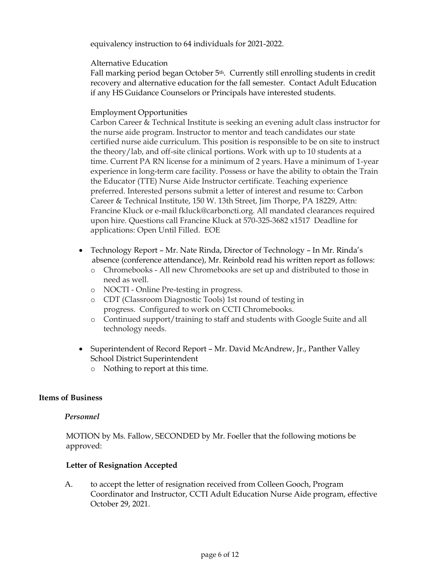equivalency instruction to 64 individuals for 2021-2022.

### Alternative Education

Fall marking period began October 5<sup>th</sup>. Currently still enrolling students in credit recovery and alternative education for the fall semester. Contact Adult Education if any HS Guidance Counselors or Principals have interested students.

# Employment Opportunities

Carbon Career & Technical Institute is seeking an evening adult class instructor for the nurse aide program. Instructor to mentor and teach candidates our state certified nurse aide curriculum. This position is responsible to be on site to instruct the theory/lab, and off-site clinical portions. Work with up to 10 students at a time. Current PA RN license for a minimum of 2 years. Have a minimum of 1-year experience in long-term care facility. Possess or have the ability to obtain the Train the Educator (TTE) Nurse Aide Instructor certificate. Teaching experience preferred. Interested persons submit a letter of interest and resume to: Carbon Career & Technical Institute, 150 W. 13th Street, Jim Thorpe, PA 18229, Attn: Francine Kluck or e-mail fkluck@carboncti.org. All mandated clearances required upon hire. Questions call Francine Kluck at 570-325-3682 x1517 Deadline for applications: Open Until Filled. EOE

- Technology Report Mr. Nate Rinda, Director of Technology In Mr. Rinda's absence (conference attendance), Mr. Reinbold read his written report as follows:
	- o Chromebooks All new Chromebooks are set up and distributed to those in need as well.
	- o NOCTI Online Pre-testing in progress.
	- o CDT (Classroom Diagnostic Tools) 1st round of testing in progress. Configured to work on CCTI Chromebooks.
	- o Continued support/training to staff and students with Google Suite and all technology needs.
- Superintendent of Record Report Mr. David McAndrew, Jr., Panther Valley School District Superintendent
	- o Nothing to report at this time.

### **Items of Business**

### *Personnel*

MOTION by Ms. Fallow, SECONDED by Mr. Foeller that the following motions be approved:

### **Letter of Resignation Accepted**

A. to accept the letter of resignation received from Colleen Gooch, Program Coordinator and Instructor, CCTI Adult Education Nurse Aide program, effective October 29, 2021.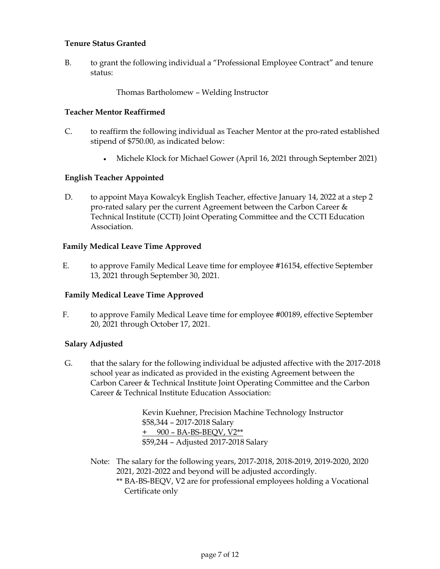### **Tenure Status Granted**

B. to grant the following individual a "Professional Employee Contract" and tenure status:

Thomas Bartholomew – Welding Instructor

### **Teacher Mentor Reaffirmed**

- C. to reaffirm the following individual as Teacher Mentor at the pro-rated established stipend of \$750.00, as indicated below:
	- Michele Klock for Michael Gower (April 16, 2021 through September 2021)

# **English Teacher Appointed**

D. to appoint Maya Kowalcyk English Teacher, effective January 14, 2022 at a step 2 pro-rated salary per the current Agreement between the Carbon Career & Technical Institute (CCTI) Joint Operating Committee and the CCTI Education Association.

### **Family Medical Leave Time Approved**

E. to approve Family Medical Leave time for employee #16154, effective September 13, 2021 through September 30, 2021.

### **Family Medical Leave Time Approved**

F. to approve Family Medical Leave time for employee #00189, effective September 20, 2021 through October 17, 2021.

### **Salary Adjusted**

G. that the salary for the following individual be adjusted affective with the 2017-2018 school year as indicated as provided in the existing Agreement between the Carbon Career & Technical Institute Joint Operating Committee and the Carbon Career & Technical Institute Education Association:

> Kevin Kuehner, Precision Machine Technology Instructor \$58,344 – 2017-2018 Salary + 900 – BA-BS-BEQV, V2\*\* \$59,244 – Adjusted 2017-2018 Salary

- Note: The salary for the following years, 2017-2018, 2018-2019, 2019-2020, 2020 2021, 2021-2022 and beyond will be adjusted accordingly.
	- \*\* BA-BS-BEQV, V2 are for professional employees holding a Vocational Certificate only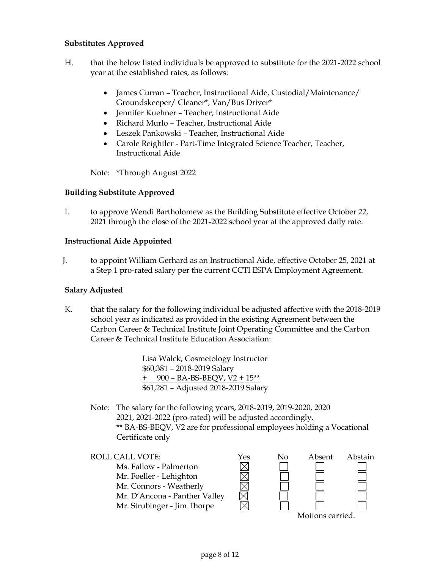### **Substitutes Approved**

- H. that the below listed individuals be approved to substitute for the 2021-2022 school year at the established rates, as follows:
	- James Curran Teacher, Instructional Aide, Custodial/Maintenance/ Groundskeeper/ Cleaner\*, Van/Bus Driver\*
	- Jennifer Kuehner Teacher, Instructional Aide
	- Richard Murlo Teacher, Instructional Aide
	- Leszek Pankowski Teacher, Instructional Aide
	- Carole Reightler Part-Time Integrated Science Teacher, Teacher, Instructional Aide

Note: \*Through August 2022

#### **Building Substitute Approved**

I. to approve Wendi Bartholomew as the Building Substitute effective October 22, 2021 through the close of the 2021-2022 school year at the approved daily rate.

#### **Instructional Aide Appointed**

J. to appoint William Gerhard as an Instructional Aide, effective October 25, 2021 at a Step 1 pro-rated salary per the current CCTI ESPA Employment Agreement.

#### **Salary Adjusted**

K. that the salary for the following individual be adjusted affective with the 2018-2019 school year as indicated as provided in the existing Agreement between the Carbon Career & Technical Institute Joint Operating Committee and the Carbon Career & Technical Institute Education Association:

> Lisa Walck, Cosmetology Instructor \$60,381 – 2018-2019 Salary + 900 – BA-BS-BEQV, V2 + 15\*\* \$61,281 – Adjusted 2018-2019 Salary

Note: The salary for the following years, 2018-2019, 2019-2020, 2020 2021, 2021-2022 (pro-rated) will be adjusted accordingly. \*\* BA-BS-BEQV, V2 are for professional employees holding a Vocational Certificate only

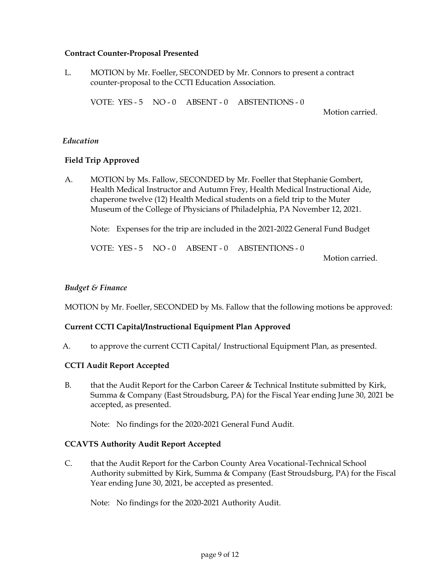#### **Contract Counter-Proposal Presented**

L. MOTION by Mr. Foeller, SECONDED by Mr. Connors to present a contract counter-proposal to the CCTI Education Association.

VOTE: YES - 5 NO - 0 ABSENT - 0 ABSTENTIONS - 0

Motion carried.

### *Education*

### **Field Trip Approved**

A. MOTION by Ms. Fallow, SECONDED by Mr. Foeller that Stephanie Gombert, Health Medical Instructor and Autumn Frey, Health Medical Instructional Aide, chaperone twelve (12) Health Medical students on a field trip to the Muter Museum of the College of Physicians of Philadelphia, PA November 12, 2021.

Note: Expenses for the trip are included in the 2021-2022 General Fund Budget

VOTE: YES - 5 NO - 0 ABSENT - 0 ABSTENTIONS - 0

Motion carried.

### *Budget & Finance*

MOTION by Mr. Foeller, SECONDED by Ms. Fallow that the following motions be approved:

### **Current CCTI Capital/Instructional Equipment Plan Approved**

A. to approve the current CCTI Capital/ Instructional Equipment Plan, as presented.

### **CCTI Audit Report Accepted**

B. that the Audit Report for the Carbon Career & Technical Institute submitted by Kirk, Summa & Company (East Stroudsburg, PA) for the Fiscal Year ending June 30, 2021 be accepted, as presented.

Note: No findings for the 2020-2021 General Fund Audit.

#### **CCAVTS Authority Audit Report Accepted**

C. that the Audit Report for the Carbon County Area Vocational-Technical School Authority submitted by Kirk, Summa & Company (East Stroudsburg, PA) for the Fiscal Year ending June 30, 2021, be accepted as presented.

Note: No findings for the 2020-2021 Authority Audit.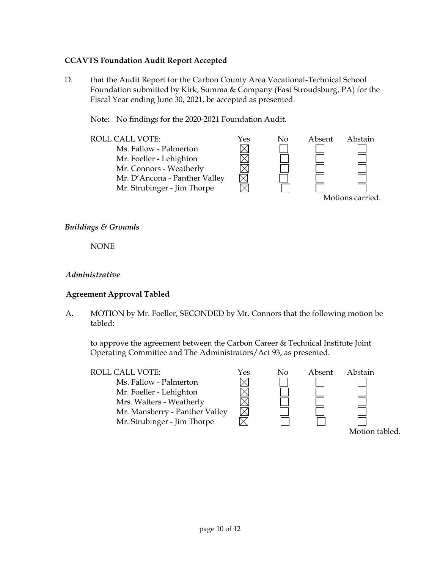### **CCAVTS Foundation Audit Report Accepted**

D. that the Audit Report for the Carbon County Area Vocational-Technical School Foundation submitted by Kirk, Summa & Company (East Stroudsburg, PA) for the Fiscal Year ending June 30, 2021, be accepted as presented.

Note: No findings for the 2020-2021 Foundation Audit.



### *Buildings & Grounds*

NONE

### *Administrative*

### **Agreement Approval Tabled**

A. MOTION by Mr. Foeller, SECONDED by Mr. Connors that the following motion be tabled:

to approve the agreement between the Carbon Career & Technical Institute Joint Operating Committee and The Administrators/Act 93, as presented.

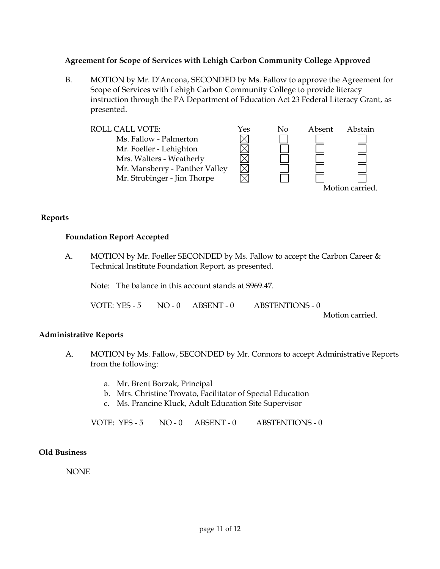### **Agreement for Scope of Services with Lehigh Carbon Community College Approved**

B. MOTION by Mr. D'Ancona, SECONDED by Ms. Fallow to approve the Agreement for Scope of Services with Lehigh Carbon Community College to provide literacy instruction through the PA Department of Education Act 23 Federal Literacy Grant, as presented.



#### Motion carried.

### **Reports**

### **Foundation Report Accepted**

A. MOTION by Mr. Foeller SECONDED by Ms. Fallow to accept the Carbon Career & Technical Institute Foundation Report, as presented.

Note: The balance in this account stands at \$969.47.

VOTE: YES - 5 NO - 0 ABSENT - 0 ABSTENTIONS - 0

Motion carried.

### **Administrative Reports**

- A. MOTION by Ms. Fallow, SECONDED by Mr. Connors to accept Administrative Reports from the following:
	- a. Mr. Brent Borzak, Principal
	- b. Mrs. Christine Trovato, Facilitator of Special Education
	- c. Ms. Francine Kluck, Adult Education Site Supervisor

VOTE: YES - 5 NO - 0 ABSENT - 0 ABSTENTIONS - 0

### **Old Business**

NONE